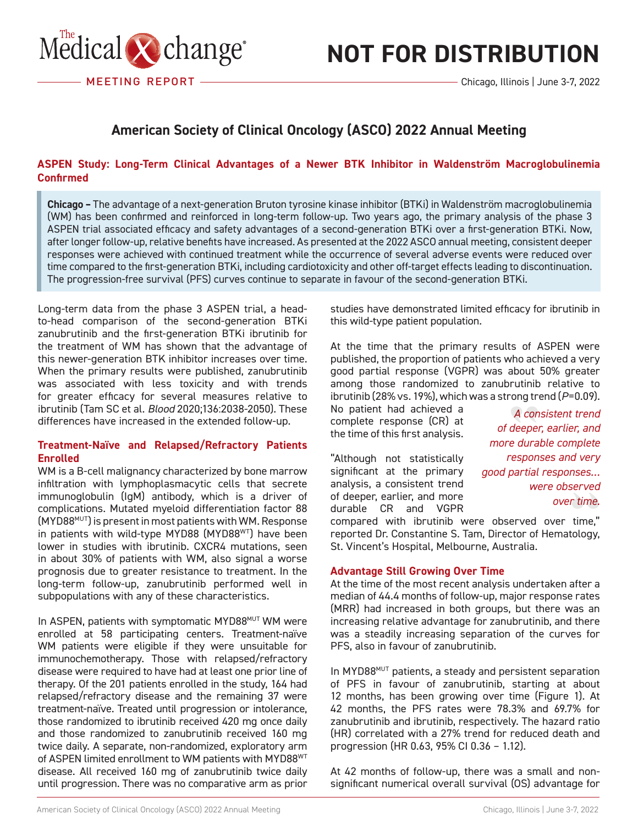

# **NOT FOR DISTRIBUTION**

Chicago, Illinois | June 3-7, 2022

### **American Society of Clinical Oncology (ASCO) 2022 Annual Meeting**

#### RAPPORT DE CONFÉRENCE EN 1999 EN 1999 EN 1999 EN 1999 EN 1999 EN 1999 EN 1999 EN 1999 EN 1999 EN 1999 EN 1999 **ASPEN Study: Long-Term Clinical Advantages of a Newer BTK Inhibitor in Waldenström Macroglobulinemia Confirmed**

**Chicago –** The advantage of a next-generation Bruton tyrosine kinase inhibitor (BTKi) in Waldenström macroglobulinemia (WM) has been confirmed and reinforced in long-term follow-up. Two years ago, the primary analysis of the phase 3 ASPEN trial associated efficacy and safety advantages of a second-generation BTKi over a first-generation BTKi. Now, after longer follow-up, relative benefits have increased. As presented at the 2022 ASCO annual meeting, consistent deeper responses were achieved with continued treatment while the occurrence of several adverse events were reduced over time compared to the first-generation BTKi, including cardiotoxicity and other off-target effects leading to discontinuation. The progression-free survival (PFS) curves continue to separate in favour of the second-generation BTKi.

Long-term data from the phase 3 ASPEN trial, a headto-head comparison of the second-generation BTKi zanubrutinib and the first-generation BTKi ibrutinib for the treatment of WM has shown that the advantage of this newer-generation BTK inhibitor increases over time. When the primary results were published, zanubrutinib was associated with less toxicity and with trends for greater efficacy for several measures relative to ibrutinib (Tam SC et al. *Blood* 2020;136:2038-2050). These differences have increased in the extended follow-up.

#### **Treatment-Naïve and Relapsed/Refractory Patients Enrolled**

WM is a B-cell malignancy characterized by bone marrow infiltration with lymphoplasmacytic cells that secrete immunoglobulin (IgM) antibody, which is a driver of complications. Mutated myeloid differentiation factor 88 (MYD88MUT) is present in most patients with WM. Response in patients with wild-type MYD88 (MYD88WT) have been lower in studies with ibrutinib. CXCR4 mutations, seen in about 30% of patients with WM, also signal a worse prognosis due to greater resistance to treatment. In the long-term follow-up, zanubrutinib performed well in subpopulations with any of these characteristics.

In ASPEN, patients with symptomatic MYD88MUT WM were enrolled at 58 participating centers. Treatment-naïve WM patients were eligible if they were unsuitable for immunochemotherapy. Those with relapsed/refractory disease were required to have had at least one prior line of therapy. Of the 201 patients enrolled in the study, 164 had relapsed/refractory disease and the remaining 37 were treatment-naïve. Treated until progression or intolerance, those randomized to ibrutinib received 420 mg once daily and those randomized to zanubrutinib received 160 mg twice daily. A separate, non-randomized, exploratory arm of ASPEN limited enrollment to WM patients with MYD88WT disease. All received 160 mg of zanubrutinib twice daily until progression. There was no comparative arm as prior

studies have demonstrated limited efficacy for ibrutinib in this wild-type patient population.

At the time that the primary results of ASPEN were published, the proportion of patients who achieved a very good partial response (VGPR) was about 50% greater among those randomized to zanubrutinib relative to ibrutinib (28% vs. 19%), which was a strong trend (*P*=0.09).

No patient had achieved a complete response (CR) at the time of this first analysis.

"Although not statistically significant at the primary analysis, a consistent trend of deeper, earlier, and more durable CR and VGPR

*A consistent trend of deeper, earlier, and more durable complete responses and very good partial responses… were observed over time.*

compared with ibrutinib were observed over time," reported Dr. Constantine S. Tam, Director of Hematology, St. Vincent's Hospital, Melbourne, Australia.

#### **Advantage Still Growing Over Time**

At the time of the most recent analysis undertaken after a median of 44.4 months of follow-up, major response rates (MRR) had increased in both groups, but there was an increasing relative advantage for zanubrutinib, and there was a steadily increasing separation of the curves for PFS, also in favour of zanubrutinib.

In MYD88MUT patients, a steady and persistent separation of PFS in favour of zanubrutinib, starting at about 12 months, has been growing over time (Figure 1). At 42 months, the PFS rates were 78.3% and 69.7% for zanubrutinib and ibrutinib, respectively. The hazard ratio (HR) correlated with a 27% trend for reduced death and progression (HR 0.63, 95% CI 0.36 – 1.12).

At 42 months of follow-up, there was a small and nonsignificant numerical overall survival (OS) advantage for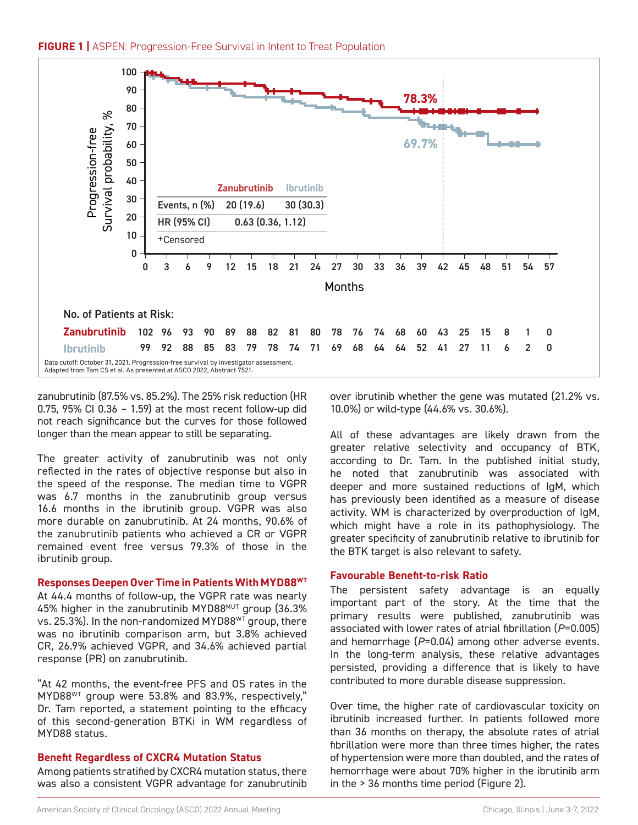

zanubrutinib (87.5% vs. 85.2%). The 25% risk reduction (HR 0.75, 95% CI 0.36 – 1.59) at the most recent follow-up did not reach significance but the curves for those followed longer than the mean appear to still be separating.

The greater activity of zanubrutinib was not only reflected in the rates of objective response but also in the speed of the response. The median time to VGPR was 6.7 months in the zanubrutinib group versus 16.6 months in the ibrutinib group. VGPR was also more durable on zanubrutinib. At 24 months, 90.6% of the zanubrutinib patients who achieved a CR or VGPR remained event free versus 79.3% of those in the ibrutinib group.

#### **Responses Deepen Over Time in Patients With MYD88WT**

At 44.4 months of follow-up, the VGPR rate was nearly 45% higher in the zanubrutinib MYD88MUT group (36.3% vs. 25.3%). In the non-randomized MYD88<sup>WT</sup> group, there was no ibrutinib comparison arm, but 3.8% achieved CR, 26.9% achieved VGPR, and 34.6% achieved partial response (PR) on zanubrutinib.

"At 42 months, the event-free PFS and OS rates in the MYD88WT group were 53.8% and 83.9%, respectively," Dr. Tam reported, a statement pointing to the efficacy of this second-generation BTKi in WM regardless of MYD88 status.

#### **Benefit Regardless of CXCR4 Mutation Status**

Among patients stratified by CXCR4 mutation status, there was also a consistent VGPR advantage for zanubrutinib

over ibrutinib whether the gene was mutated (21.2% vs. 10.0%) or wild-type (44.6% vs. 30.6%).

All of these advantages are likely drawn from the greater relative selectivity and occupancy of BTK, according to Dr. Tam. In the published initial study, he noted that zanubrutinib was associated with deeper and more sustained reductions of IgM, which has previously been identified as a measure of disease activity. WM is characterized by overproduction of IgM, which might have a role in its pathophysiology. The greater specificity of zanubrutinib relative to ibrutinib for the BTK target is also relevant to safety.

#### **Favourable Benefit-to-risk Ratio**

The persistent safety advantage is an equally important part of the story. At the time that the primary results were published, zanubrutinib was associated with lower rates of atrial fibrillation (*P*=0.005) and hemorrhage (*P*=0.04) among other adverse events. In the long-term analysis, these relative advantages persisted, providing a difference that is likely to have contributed to more durable disease suppression.

Over time, the higher rate of cardiovascular toxicity on ibrutinib increased further. In patients followed more than 36 months on therapy, the absolute rates of atrial fibrillation were more than three times higher, the rates of hypertension were more than doubled, and the rates of hemorrhage were about 70% higher in the ibrutinib arm in the > 36 months time period (Figure 2).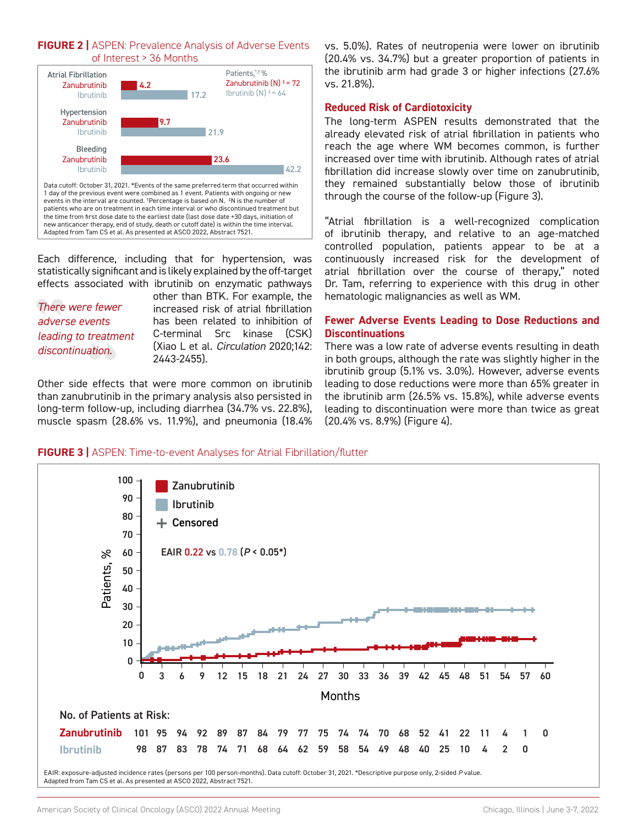



Each difference, including that for hypertension, was statistically significant and is likely explained by the off-target effects associated with ibrutinib on enzymatic pathways

*There were fewer adverse events leading to treatment discontinuation.*

other than BTK. For example, the increased risk of atrial fibrillation has been related to inhibition of C-terminal Src kinase (CSK) (Xiao L et al. *Circulation* 2020;142: 2443-2455).

Other side effects that were more common on ibrutinib than zanubrutinib in the primary analysis also persisted in long-term follow-up, including diarrhea (34.7% vs. 22.8%), muscle spasm (28.6% vs. 11.9%), and pneumonia (18.4% vs. 5.0%). Rates of neutropenia were lower on ibrutinib (20.4% vs. 34.7%) but a greater proportion of patients in the ibrutinib arm had grade 3 or higher infections (27.6% vs. 21.8%).

#### **Reduced Risk of Cardiotoxicity**

The long-term ASPEN results demonstrated that the already elevated risk of atrial fibrillation in patients who reach the age where WM becomes common, is further increased over time with ibrutinib. Although rates of atrial fibrillation did increase slowly over time on zanubrutinib, they remained substantially below those of ibrutinib through the course of the follow-up (Figure 3).

"Atrial fibrillation is a well-recognized complication of ibrutinib therapy, and relative to an age-matched controlled population, patients appear to be at a continuously increased risk for the development of atrial fibrillation over the course of therapy," noted Dr. Tam, referring to experience with this drug in other hematologic malignancies as well as WM.

#### **Fewer Adverse Events Leading to Dose Reductions and Discontinuations**

There was a low rate of adverse events resulting in death in both groups, although the rate was slightly higher in the ibrutinib group (5.1% vs. 3.0%). However, adverse events leading to dose reductions were more than 65% greater in the ibrutinib arm (26.5% vs. 15.8%), while adverse events leading to discontinuation were more than twice as great (20.4% vs. 8.9%) (Figure 4).

#### **FIGURE 3 |** ASPEN: Time-to-event Analyses for Atrial Fibrillation/flutter